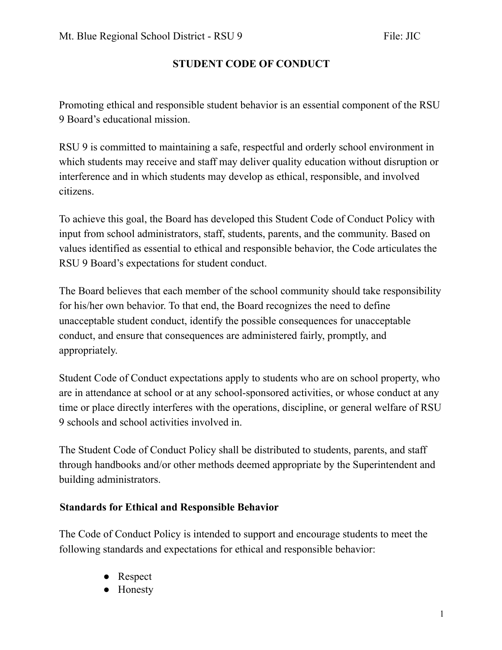Promoting ethical and responsible student behavior is an essential component of the RSU 9 Board's educational mission.

RSU 9 is committed to maintaining a safe, respectful and orderly school environment in which students may receive and staff may deliver quality education without disruption or interference and in which students may develop as ethical, responsible, and involved citizens.

To achieve this goal, the Board has developed this Student Code of Conduct Policy with input from school administrators, staff, students, parents, and the community. Based on values identified as essential to ethical and responsible behavior, the Code articulates the RSU 9 Board's expectations for student conduct.

The Board believes that each member of the school community should take responsibility for his/her own behavior. To that end, the Board recognizes the need to define unacceptable student conduct, identify the possible consequences for unacceptable conduct, and ensure that consequences are administered fairly, promptly, and appropriately.

Student Code of Conduct expectations apply to students who are on school property, who are in attendance at school or at any school-sponsored activities, or whose conduct at any time or place directly interferes with the operations, discipline, or general welfare of RSU 9 schools and school activities involved in.

The Student Code of Conduct Policy shall be distributed to students, parents, and staff through handbooks and/or other methods deemed appropriate by the Superintendent and building administrators.

### **Standards for Ethical and Responsible Behavior**

The Code of Conduct Policy is intended to support and encourage students to meet the following standards and expectations for ethical and responsible behavior:

- Respect
- **Honesty**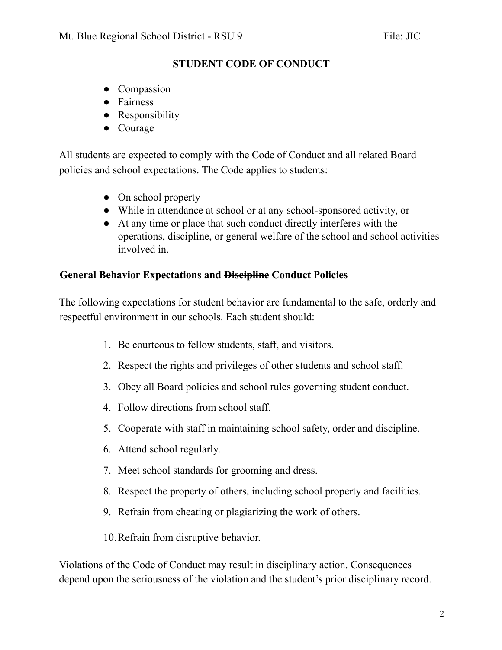- Compassion
- Fairness
- Responsibility
- Courage

All students are expected to comply with the Code of Conduct and all related Board policies and school expectations. The Code applies to students:

- On school property
- While in attendance at school or at any school-sponsored activity, or
- At any time or place that such conduct directly interferes with the operations, discipline, or general welfare of the school and school activities involved in.

### **General Behavior Expectations and Discipline Conduct Policies**

The following expectations for student behavior are fundamental to the safe, orderly and respectful environment in our schools. Each student should:

- 1. Be courteous to fellow students, staff, and visitors.
- 2. Respect the rights and privileges of other students and school staff.
- 3. Obey all Board policies and school rules governing student conduct.
- 4. Follow directions from school staff.
- 5. Cooperate with staff in maintaining school safety, order and discipline.
- 6. Attend school regularly.
- 7. Meet school standards for grooming and dress.
- 8. Respect the property of others, including school property and facilities.
- 9. Refrain from cheating or plagiarizing the work of others.
- 10.Refrain from disruptive behavior.

Violations of the Code of Conduct may result in disciplinary action. Consequences depend upon the seriousness of the violation and the student's prior disciplinary record.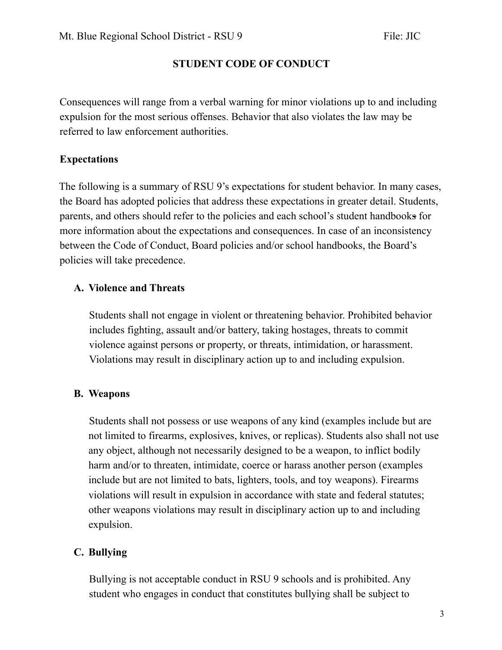Consequences will range from a verbal warning for minor violations up to and including expulsion for the most serious offenses. Behavior that also violates the law may be referred to law enforcement authorities.

## **Expectations**

The following is a summary of RSU 9's expectations for student behavior. In many cases, the Board has adopted policies that address these expectations in greater detail. Students, parents, and others should refer to the policies and each school's student handbooks for more information about the expectations and consequences. In case of an inconsistency between the Code of Conduct, Board policies and/or school handbooks, the Board's policies will take precedence.

### **A. Violence and Threats**

Students shall not engage in violent or threatening behavior. Prohibited behavior includes fighting, assault and/or battery, taking hostages, threats to commit violence against persons or property, or threats, intimidation, or harassment. Violations may result in disciplinary action up to and including expulsion.

### **B. Weapons**

Students shall not possess or use weapons of any kind (examples include but are not limited to firearms, explosives, knives, or replicas). Students also shall not use any object, although not necessarily designed to be a weapon, to inflict bodily harm and/or to threaten, intimidate, coerce or harass another person (examples include but are not limited to bats, lighters, tools, and toy weapons). Firearms violations will result in expulsion in accordance with state and federal statutes; other weapons violations may result in disciplinary action up to and including expulsion.

# **C. Bullying**

Bullying is not acceptable conduct in RSU 9 schools and is prohibited. Any student who engages in conduct that constitutes bullying shall be subject to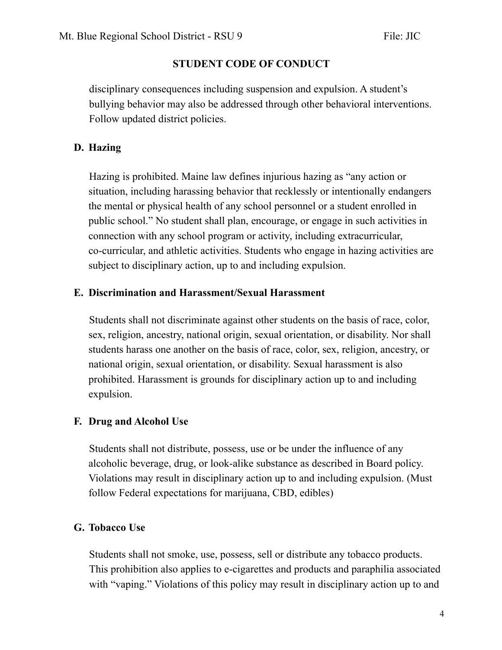disciplinary consequences including suspension and expulsion. A student's bullying behavior may also be addressed through other behavioral interventions. Follow updated district policies.

### **D. Hazing**

Hazing is prohibited. Maine law defines injurious hazing as "any action or situation, including harassing behavior that recklessly or intentionally endangers the mental or physical health of any school personnel or a student enrolled in public school." No student shall plan, encourage, or engage in such activities in connection with any school program or activity, including extracurricular, co-curricular, and athletic activities. Students who engage in hazing activities are subject to disciplinary action, up to and including expulsion.

#### **E. Discrimination and Harassment/Sexual Harassment**

Students shall not discriminate against other students on the basis of race, color, sex, religion, ancestry, national origin, sexual orientation, or disability. Nor shall students harass one another on the basis of race, color, sex, religion, ancestry, or national origin, sexual orientation, or disability. Sexual harassment is also prohibited. Harassment is grounds for disciplinary action up to and including expulsion.

#### **F. Drug and Alcohol Use**

Students shall not distribute, possess, use or be under the influence of any alcoholic beverage, drug, or look-alike substance as described in Board policy. Violations may result in disciplinary action up to and including expulsion. (Must follow Federal expectations for marijuana, CBD, edibles)

### **G. Tobacco Use**

Students shall not smoke, use, possess, sell or distribute any tobacco products. This prohibition also applies to e-cigarettes and products and paraphilia associated with "vaping." Violations of this policy may result in disciplinary action up to and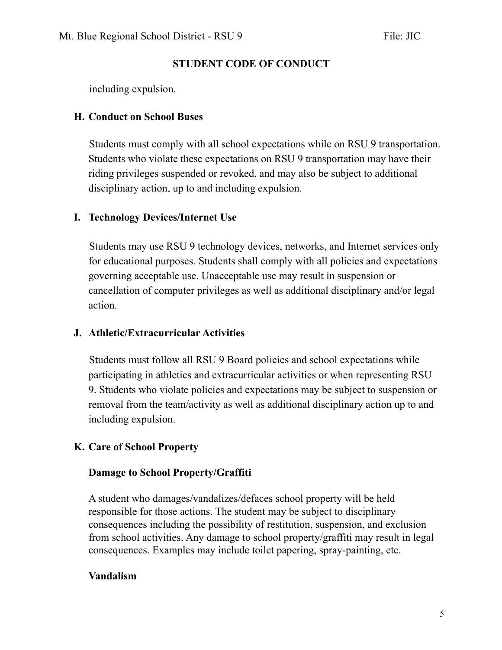including expulsion.

#### **H. Conduct on School Buses**

Students must comply with all school expectations while on RSU 9 transportation. Students who violate these expectations on RSU 9 transportation may have their riding privileges suspended or revoked, and may also be subject to additional disciplinary action, up to and including expulsion.

### **I. Technology Devices/Internet Use**

Students may use RSU 9 technology devices, networks, and Internet services only for educational purposes. Students shall comply with all policies and expectations governing acceptable use. Unacceptable use may result in suspension or cancellation of computer privileges as well as additional disciplinary and/or legal action.

### **J. Athletic/Extracurricular Activities**

Students must follow all RSU 9 Board policies and school expectations while participating in athletics and extracurricular activities or when representing RSU 9. Students who violate policies and expectations may be subject to suspension or removal from the team/activity as well as additional disciplinary action up to and including expulsion.

### **K. Care of School Property**

### **Damage to School Property/Graffiti**

A student who damages/vandalizes/defaces school property will be held responsible for those actions. The student may be subject to disciplinary consequences including the possibility of restitution, suspension, and exclusion from school activities. Any damage to school property/graffiti may result in legal consequences. Examples may include toilet papering, spray-painting, etc.

### **Vandalism**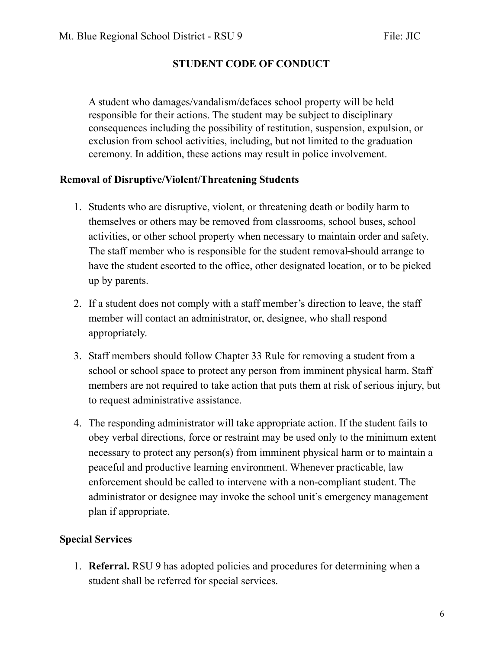A student who damages/vandalism/defaces school property will be held responsible for their actions. The student may be subject to disciplinary consequences including the possibility of restitution, suspension, expulsion, or exclusion from school activities, including, but not limited to the graduation ceremony. In addition, these actions may result in police involvement.

#### **Removal of Disruptive/Violent/Threatening Students**

- 1. Students who are disruptive, violent, or threatening death or bodily harm to themselves or others may be removed from classrooms, school buses, school activities, or other school property when necessary to maintain order and safety. The staff member who is responsible for the student removal-should arrange to have the student escorted to the office, other designated location, or to be picked up by parents.
- 2. If a student does not comply with a staff member's direction to leave, the staff member will contact an administrator, or, designee, who shall respond appropriately.
- 3. Staff members should follow Chapter 33 Rule for removing a student from a school or school space to protect any person from imminent physical harm. Staff members are not required to take action that puts them at risk of serious injury, but to request administrative assistance.
- 4. The responding administrator will take appropriate action. If the student fails to obey verbal directions, force or restraint may be used only to the minimum extent necessary to protect any person(s) from imminent physical harm or to maintain a peaceful and productive learning environment. Whenever practicable, law enforcement should be called to intervene with a non-compliant student. The administrator or designee may invoke the school unit's emergency management plan if appropriate.

#### **Special Services**

1. **Referral.** RSU 9 has adopted policies and procedures for determining when a student shall be referred for special services.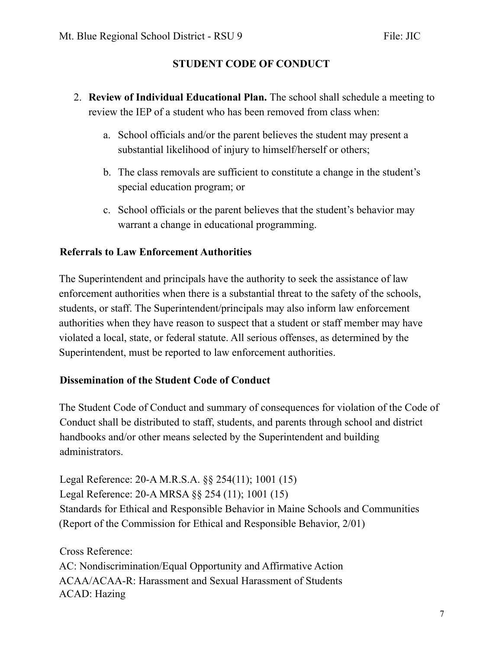- 2. **Review of Individual Educational Plan.** The school shall schedule a meeting to review the IEP of a student who has been removed from class when:
	- a. School officials and/or the parent believes the student may present a substantial likelihood of injury to himself/herself or others;
	- b. The class removals are sufficient to constitute a change in the student's special education program; or
	- c. School officials or the parent believes that the student's behavior may warrant a change in educational programming.

### **Referrals to Law Enforcement Authorities**

The Superintendent and principals have the authority to seek the assistance of law enforcement authorities when there is a substantial threat to the safety of the schools, students, or staff. The Superintendent/principals may also inform law enforcement authorities when they have reason to suspect that a student or staff member may have violated a local, state, or federal statute. All serious offenses, as determined by the Superintendent, must be reported to law enforcement authorities.

#### **Dissemination of the Student Code of Conduct**

The Student Code of Conduct and summary of consequences for violation of the Code of Conduct shall be distributed to staff, students, and parents through school and district handbooks and/or other means selected by the Superintendent and building administrators.

Legal Reference: 20-A M.R.S.A. §§ 254(11); 1001 (15) Legal Reference: 20-A MRSA §§ 254 (11); 1001 (15) Standards for Ethical and Responsible Behavior in Maine Schools and Communities (Report of the Commission for Ethical and Responsible Behavior, 2/01)

Cross Reference: AC: Nondiscrimination/Equal Opportunity and Affirmative Action ACAA/ACAA-R: Harassment and Sexual Harassment of Students ACAD: Hazing